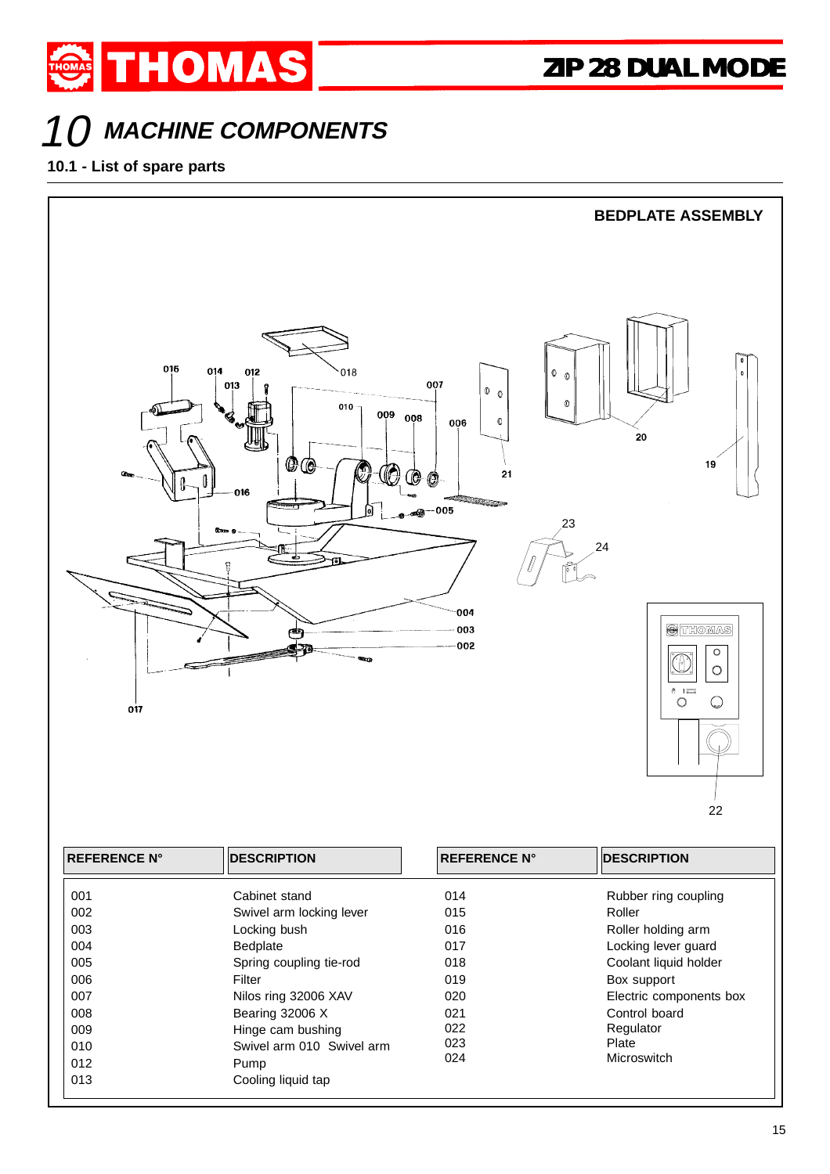

## 10 **MACHINE COMPONENTS**

**10.1 - List of spare parts**



| <b>REFERENCE N°</b> | <b>DESCRIPTION</b>        | <b>REFERENCE N°</b> | <b>DESCRIPTION</b>      |
|---------------------|---------------------------|---------------------|-------------------------|
| 001                 | Cabinet stand             | 014                 | Rubber ring coupling    |
| 002                 | Swivel arm locking lever  | 015                 | Roller                  |
| 003                 | Locking bush              | 016                 | Roller holding arm      |
| 004                 | Bedplate                  | 017                 | Locking lever quard     |
| 005                 | Spring coupling tie-rod   | 018                 | Coolant liquid holder   |
| 006                 | Filter                    | 019                 | Box support             |
| 007                 | Nilos ring 32006 XAV      | 020                 | Electric components box |
| 008                 | Bearing 32006 X           | 021                 | Control board           |
| 009                 | Hinge cam bushing         | 022                 | Regulator               |
| 010                 | Swivel arm 010 Swivel arm | 023                 | Plate                   |
| 012                 | Pump                      | 024                 | Microswitch             |
| 013                 | Cooling liquid tap        |                     |                         |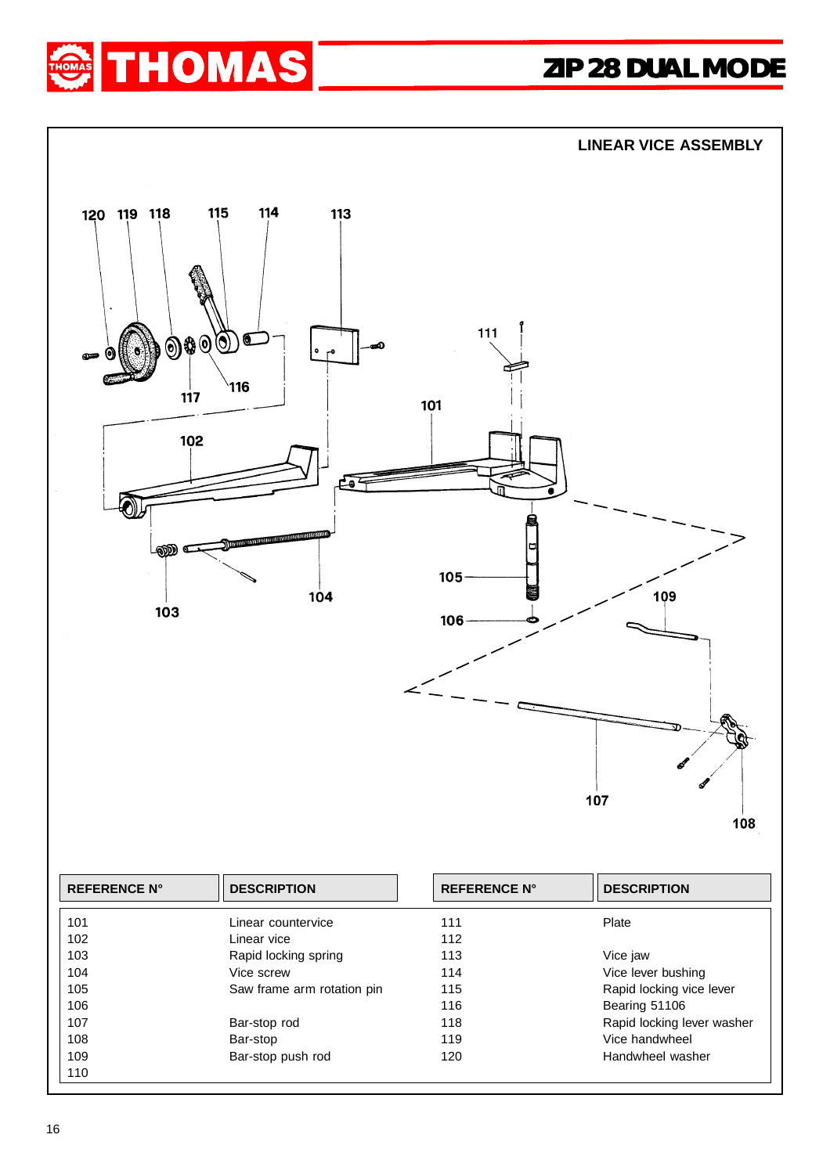





| <b>REFERENCE N°</b> | <b>DESCRIPTION</b>         | <b>REFERENCE N°</b> | <b>DESCRIPTION</b>         |
|---------------------|----------------------------|---------------------|----------------------------|
| 101                 | Linear countervice         | 111                 | Plate                      |
| 102                 | Linear vice                | 112                 |                            |
| 103                 | Rapid locking spring       | 113                 | Vice jaw                   |
| 104                 | Vice screw                 | 114                 | Vice lever bushing         |
| 105                 | Saw frame arm rotation pin | 115                 | Rapid locking vice lever   |
| 106                 |                            | 116                 | Bearing 51106              |
| 107                 | Bar-stop rod               | 118                 | Rapid locking lever washer |
| 108                 | Bar-stop                   | 119                 | Vice handwheel             |
| 109                 | Bar-stop push rod          | 120                 | Handwheel washer           |
| 110                 |                            |                     |                            |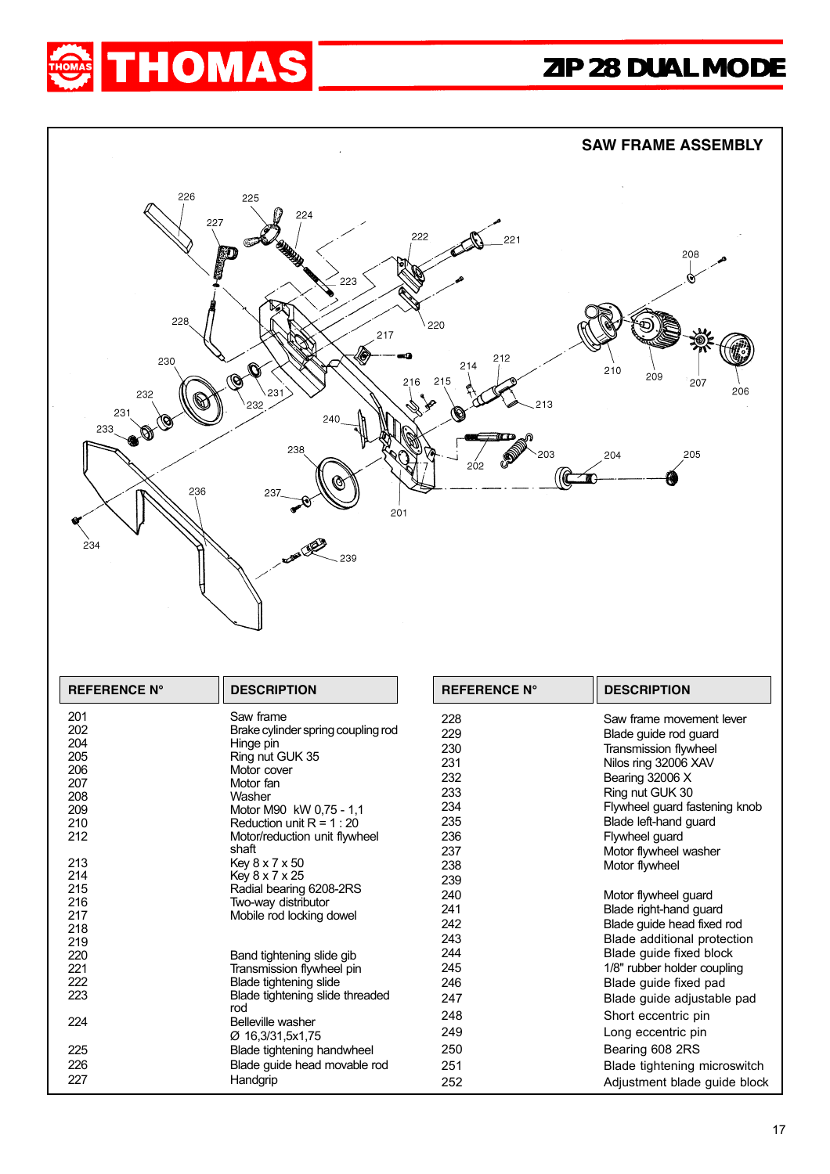



Blade guide head movable rod

227 Handgrip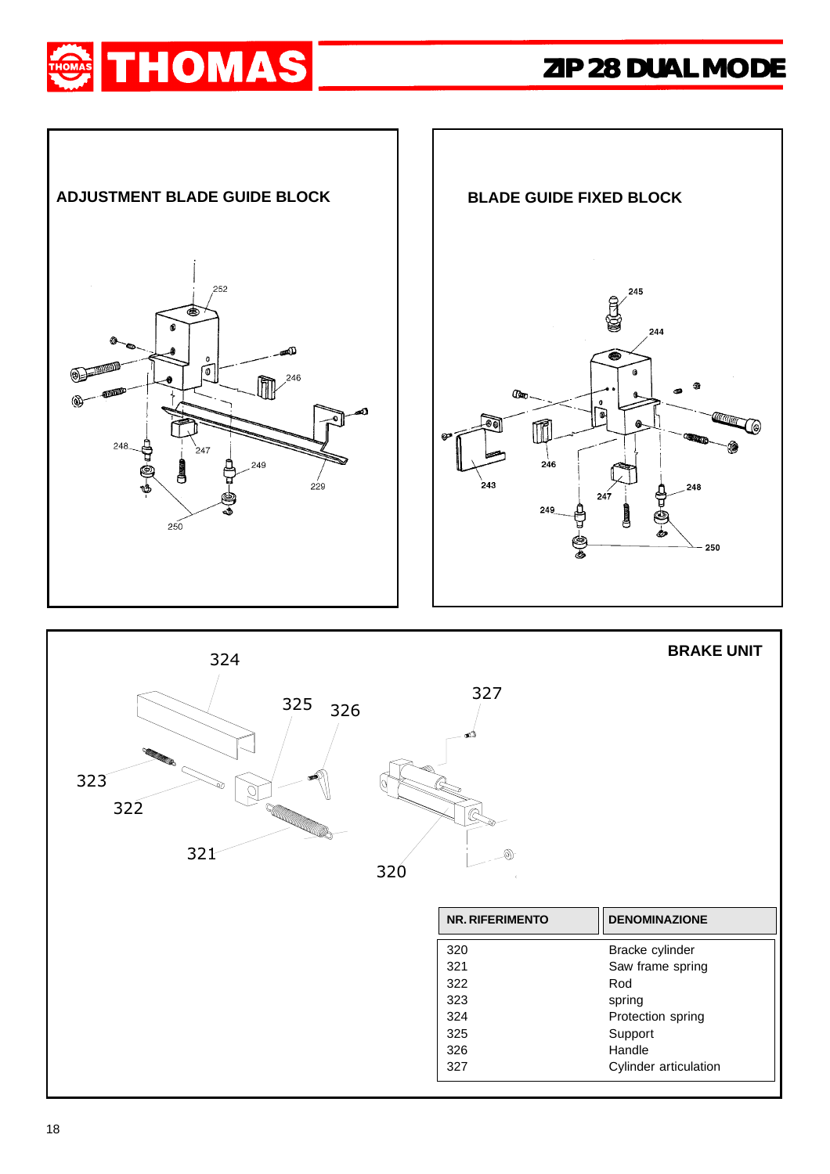